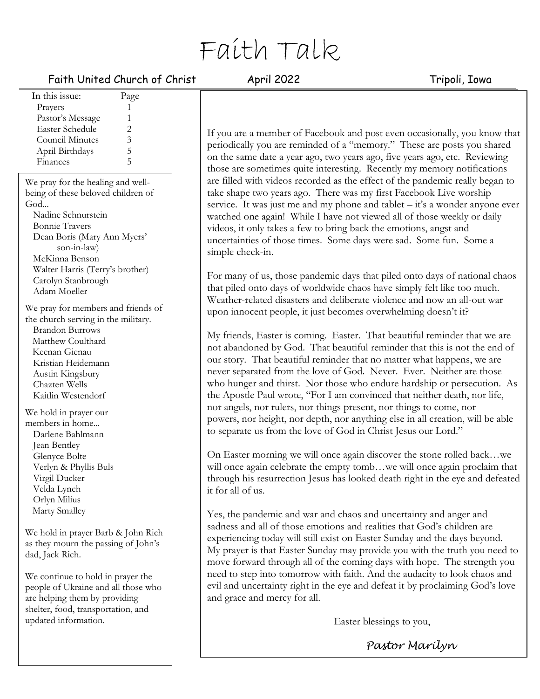# Faith Talk

# Faith United Church of Christ April 2022 Tripoli, Iowa

| $\frac{1}{2}$ and $\frac{1}{2}$ and $\frac{1}{2}$ and $\frac{1}{2}$ |                         |  |  |
|---------------------------------------------------------------------|-------------------------|--|--|
| In this issue:                                                      | Page                    |  |  |
| Prayers                                                             | 1                       |  |  |
| Pastor's Message                                                    | 1                       |  |  |
| <b>Easter Schedule</b>                                              | $\overline{c}$          |  |  |
| <b>Council Minutes</b>                                              | $\overline{\mathbf{3}}$ |  |  |
| April Birthdays                                                     | 5                       |  |  |
| Finances                                                            | 5                       |  |  |
| We pray for the healing and well-                                   |                         |  |  |
| being of these beloved children of                                  |                         |  |  |
| God                                                                 |                         |  |  |
| Nadine Schnurstein                                                  |                         |  |  |
| <b>Bonnie Travers</b>                                               |                         |  |  |
| Dean Boris (Mary Ann Myers'                                         |                         |  |  |
| son-in-law)                                                         |                         |  |  |
| McKinna Benson                                                      |                         |  |  |
| Walter Harris (Terry's brother)                                     |                         |  |  |
| Carolyn Stanbrough                                                  |                         |  |  |
| Adam Moeller                                                        |                         |  |  |
| We pray for members and friends of                                  |                         |  |  |
| the church serving in the military.                                 |                         |  |  |
| <b>Brandon Burrows</b>                                              |                         |  |  |
| Matthew Coulthard                                                   |                         |  |  |
| Keenan Gienau                                                       |                         |  |  |
| Kristian Heidemann                                                  |                         |  |  |
| Austin Kingsbury                                                    |                         |  |  |
| Chazten Wells                                                       |                         |  |  |
| Kaitlin Westendorf                                                  |                         |  |  |
| We hold in prayer our                                               |                         |  |  |
| members in home                                                     |                         |  |  |
| Darlene Bahlmann                                                    |                         |  |  |
| Jean Bentley                                                        |                         |  |  |
| $\bigcap$ $\bigcap$ $\bigcup$                                       |                         |  |  |

Glenyce Bolte Verlyn & Phyllis Buls Virgil Ducker Velda Lynch Orlyn Milius Marty Smalley

We hold in prayer Barb & John Rich as they mourn the passing of John's dad, Jack Rich.

We continue to hold in prayer the people of Ukraine and all those who are helping them by providing shelter, food, transportation, and updated information.

If you are a member of Facebook and post even occasionally, you know that periodically you are reminded of a "memory." These are posts you shared on the same date a year ago, two years ago, five years ago, etc. Reviewing those are sometimes quite interesting. Recently my memory notifications are filled with videos recorded as the effect of the pandemic really began to take shape two years ago. There was my first Facebook Live worship service. It was just me and my phone and tablet  $-i\vec{t}$ 's a wonder anyone ever watched one again! While I have not viewed all of those weekly or daily videos, it only takes a few to bring back the emotions, angst and uncertainties of those times. Some days were sad. Some fun. Some a simple check-in.

For many of us, those pandemic days that piled onto days of national chaos that piled onto days of worldwide chaos have simply felt like too much. Weather-related disasters and deliberate violence and now an all-out war upon innocent people, it just becomes overwhelming doesn't it?

My friends, Easter is coming. Easter. That beautiful reminder that we are not abandoned by God. That beautiful reminder that this is not the end of our story. That beautiful reminder that no matter what happens, we are never separated from the love of God. Never. Ever. Neither are those who hunger and thirst. Nor those who endure hardship or persecution. As the Apostle Paul wrote, "For I am convinced that neither death, nor life, nor angels, nor rulers, nor things present, nor things to come, nor powers, nor height, nor depth, nor anything else in all creation, will be able to separate us from the love of God in Christ Jesus our Lord."

On Easter morning we will once again discover the stone rolled back…we will once again celebrate the empty tomb…we will once again proclaim that through his resurrection Jesus has looked death right in the eye and defeated it for all of us.

Yes, the pandemic and war and chaos and uncertainty and anger and sadness and all of those emotions and realities that God's children are experiencing today will still exist on Easter Sunday and the days beyond. My prayer is that Easter Sunday may provide you with the truth you need to move forward through all of the coming days with hope. The strength you need to step into tomorrow with faith. And the audacity to look chaos and evil and uncertainty right in the eye and defeat it by proclaiming God's love and grace and mercy for all.

Easter blessings to you,

*Pastor Marilyn*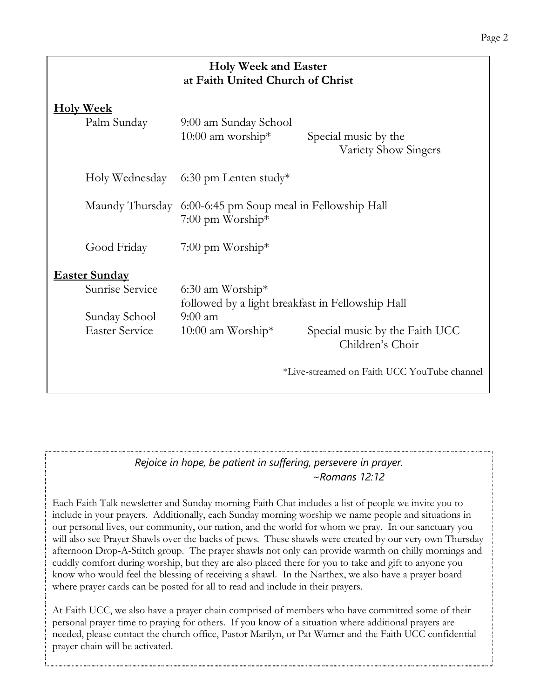| <b>Holy Week and Easter</b><br>at Faith United Church of Christ |                                                                        |                                                    |  |
|-----------------------------------------------------------------|------------------------------------------------------------------------|----------------------------------------------------|--|
| <b>Holy Week</b><br>Palm Sunday                                 | 9:00 am Sunday School<br>10:00 am worship*                             | Special music by the<br>Variety Show Singers       |  |
| Holy Wednesday                                                  | $6:30$ pm Lenten study*                                                |                                                    |  |
| Maundy Thursday                                                 | 6:00-6:45 pm Soup meal in Fellowship Hall<br>$7:00$ pm Worship*        |                                                    |  |
| Good Friday                                                     | $7:00$ pm Worship*                                                     |                                                    |  |
| <b>Easter Sunday</b>                                            |                                                                        |                                                    |  |
| Sunrise Service                                                 | $6:30$ am Worship*<br>followed by a light breakfast in Fellowship Hall |                                                    |  |
| Sunday School<br><b>Easter Service</b>                          | $9:00$ am<br>$10:00$ am Worship <sup>*</sup>                           | Special music by the Faith UCC<br>Children's Choir |  |
|                                                                 |                                                                        | *Live-streamed on Faith UCC YouTube channel        |  |

# *Rejoice in hope, be patient in suffering, persevere in prayer. ~Romans 12:12*

Each Faith Talk newsletter and Sunday morning Faith Chat includes a list of people we invite you to include in your prayers. Additionally, each Sunday morning worship we name people and situations in our personal lives, our community, our nation, and the world for whom we pray. In our sanctuary you will also see Prayer Shawls over the backs of pews. These shawls were created by our very own Thursday afternoon Drop-A-Stitch group. The prayer shawls not only can provide warmth on chilly mornings and cuddly comfort during worship, but they are also placed there for you to take and gift to anyone you know who would feel the blessing of receiving a shawl. In the Narthex, we also have a prayer board where prayer cards can be posted for all to read and include in their prayers.

At Faith UCC, we also have a prayer chain comprised of members who have committed some of their personal prayer time to praying for others. If you know of a situation where additional prayers are needed, please contact the church office, Pastor Marilyn, or Pat Warner and the Faith UCC confidential prayer chain will be activated.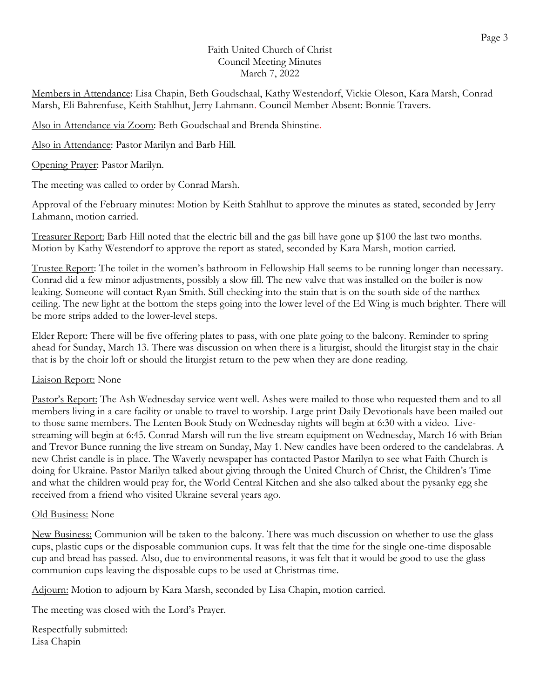# Faith United Church of Christ Council Meeting Minutes March 7, 2022

Members in Attendance: Lisa Chapin, Beth Goudschaal, Kathy Westendorf, Vickie Oleson, Kara Marsh, Conrad Marsh, Eli Bahrenfuse, Keith Stahlhut, Jerry Lahmann. Council Member Absent: Bonnie Travers.

Also in Attendance via Zoom: Beth Goudschaal and Brenda Shinstine.

Also in Attendance: Pastor Marilyn and Barb Hill.

Opening Prayer: Pastor Marilyn.

The meeting was called to order by Conrad Marsh.

Approval of the February minutes: Motion by Keith Stahlhut to approve the minutes as stated, seconded by Jerry Lahmann, motion carried.

Treasurer Report: Barb Hill noted that the electric bill and the gas bill have gone up \$100 the last two months. Motion by Kathy Westendorf to approve the report as stated, seconded by Kara Marsh, motion carried.

Trustee Report: The toilet in the women's bathroom in Fellowship Hall seems to be running longer than necessary. Conrad did a few minor adjustments, possibly a slow fill. The new valve that was installed on the boiler is now leaking. Someone will contact Ryan Smith. Still checking into the stain that is on the south side of the narthex ceiling. The new light at the bottom the steps going into the lower level of the Ed Wing is much brighter. There will be more strips added to the lower-level steps.

Elder Report: There will be five offering plates to pass, with one plate going to the balcony. Reminder to spring ahead for Sunday, March 13. There was discussion on when there is a liturgist, should the liturgist stay in the chair that is by the choir loft or should the liturgist return to the pew when they are done reading.

# Liaison Report: None

Pastor's Report: The Ash Wednesday service went well. Ashes were mailed to those who requested them and to all members living in a care facility or unable to travel to worship. Large print Daily Devotionals have been mailed out to those same members. The Lenten Book Study on Wednesday nights will begin at 6:30 with a video. Livestreaming will begin at 6:45. Conrad Marsh will run the live stream equipment on Wednesday, March 16 with Brian and Trevor Bunce running the live stream on Sunday, May 1. New candles have been ordered to the candelabras. A new Christ candle is in place. The Waverly newspaper has contacted Pastor Marilyn to see what Faith Church is doing for Ukraine. Pastor Marilyn talked about giving through the United Church of Christ, the Children's Time and what the children would pray for, the World Central Kitchen and she also talked about the pysanky egg she received from a friend who visited Ukraine several years ago.

# Old Business: None

New Business: Communion will be taken to the balcony. There was much discussion on whether to use the glass cups, plastic cups or the disposable communion cups. It was felt that the time for the single one-time disposable cup and bread has passed. Also, due to environmental reasons, it was felt that it would be good to use the glass communion cups leaving the disposable cups to be used at Christmas time.

Adjourn: Motion to adjourn by Kara Marsh, seconded by Lisa Chapin, motion carried.

The meeting was closed with the Lord's Prayer.

Respectfully submitted: Lisa Chapin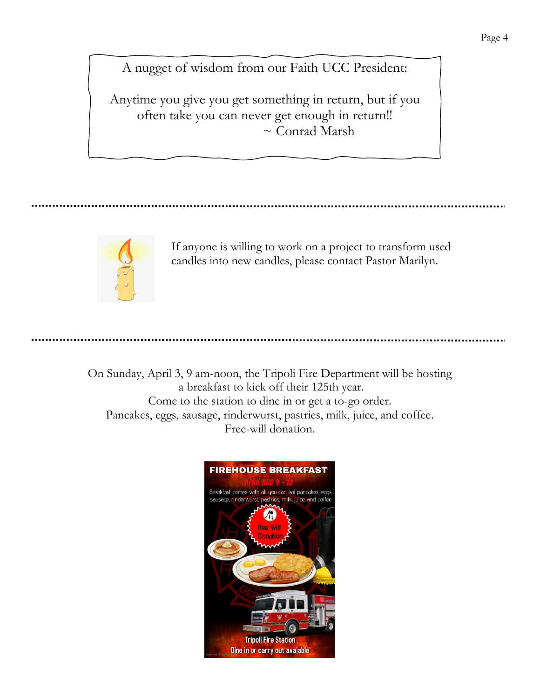A nugget of wisdom from our Faith UCC President:

Anytime you give you get something in return, but if you often take you can never get enough in return!! ~ Conrad Marsh

If anyone is willing to work on a project to transform used candles into new candles, please contact Pastor Marilyn.

On Sunday, April 3, 9 am-noon, the Tripoli Fire Department will be hosting a breakfast to kick off their 125th year. Come to the station to dine in or get a to-go order. Pancakes, eggs, sausage, rinderwurst, pastries, milk, juice, and coffee. Free-will donation.